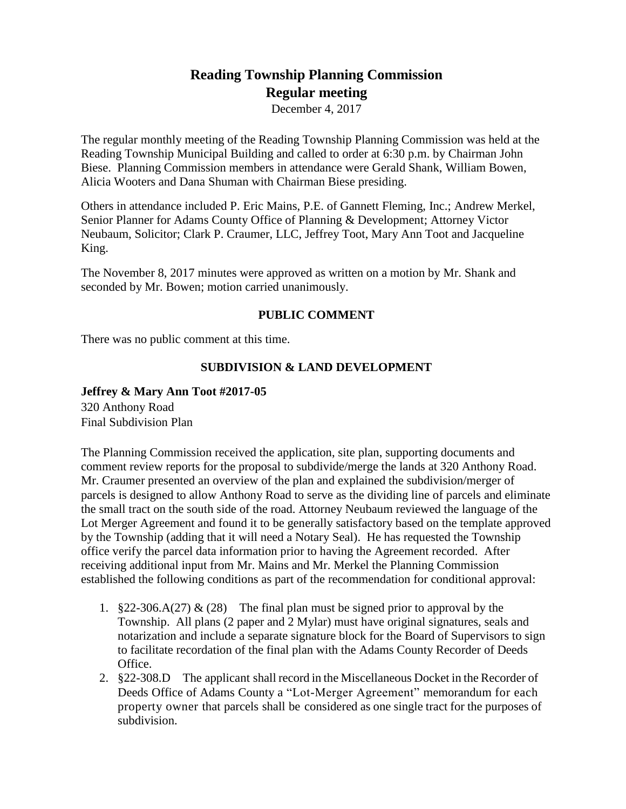# **Reading Township Planning Commission Regular meeting**

December 4, 2017

The regular monthly meeting of the Reading Township Planning Commission was held at the Reading Township Municipal Building and called to order at 6:30 p.m. by Chairman John Biese. Planning Commission members in attendance were Gerald Shank, William Bowen, Alicia Wooters and Dana Shuman with Chairman Biese presiding.

Others in attendance included P. Eric Mains, P.E. of Gannett Fleming, Inc.; Andrew Merkel, Senior Planner for Adams County Office of Planning & Development; Attorney Victor Neubaum, Solicitor; Clark P. Craumer, LLC, Jeffrey Toot, Mary Ann Toot and Jacqueline King.

The November 8, 2017 minutes were approved as written on a motion by Mr. Shank and seconded by Mr. Bowen; motion carried unanimously.

## **PUBLIC COMMENT**

There was no public comment at this time.

# **SUBDIVISION & LAND DEVELOPMENT**

### **Jeffrey & Mary Ann Toot #2017-05**

320 Anthony Road Final Subdivision Plan

The Planning Commission received the application, site plan, supporting documents and comment review reports for the proposal to subdivide/merge the lands at 320 Anthony Road. Mr. Craumer presented an overview of the plan and explained the subdivision/merger of parcels is designed to allow Anthony Road to serve as the dividing line of parcels and eliminate the small tract on the south side of the road. Attorney Neubaum reviewed the language of the Lot Merger Agreement and found it to be generally satisfactory based on the template approved by the Township (adding that it will need a Notary Seal). He has requested the Township office verify the parcel data information prior to having the Agreement recorded. After receiving additional input from Mr. Mains and Mr. Merkel the Planning Commission established the following conditions as part of the recommendation for conditional approval:

- 1. §22-306.A(27) & (28) The final plan must be signed prior to approval by the Township. All plans (2 paper and 2 Mylar) must have original signatures, seals and notarization and include a separate signature block for the Board of Supervisors to sign to facilitate recordation of the final plan with the Adams County Recorder of Deeds Office.
- 2. §22-308.D The applicant shall record in the Miscellaneous Docket in the Recorder of Deeds Office of Adams County a "Lot-Merger Agreement" memorandum for each property owner that parcels shall be considered as one single tract for the purposes of subdivision.